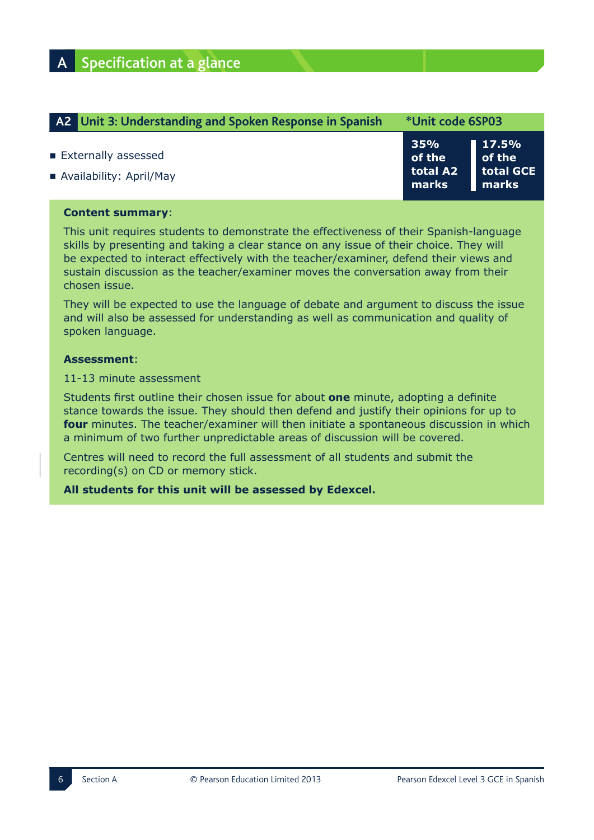| A2 Unit 3: Understanding and Spoken Response in Spanish | *Unit code 6SP03                   |                                                      |
|---------------------------------------------------------|------------------------------------|------------------------------------------------------|
| Externally assessed<br>Availability: April/May          | 35%<br>of the<br>total A2<br>marks | 17.5%<br>$\blacksquare$ of the<br>total GCE<br>marks |

## **Content summary:**

This unit requires students to demonstrate the effectiveness of their Spanish-language skills by presenting and taking a clear stance on any issue of their choice. They will be expected to interact effectively with the teacher/examiner, defend their views and sustain discussion as the teacher/examiner moves the conversation away from their chosen issue.

They will be expected to use the language of debate and argument to discuss the issue and will also be assessed for understanding as well as communication and quality of spoken language.

### $\mathsf{Assessment}:$

11-13 minute assessment

Students first outline their chosen issue for about **one** minute, adopting a definite stance towards the issue. They should then defend and justify their opinions for up to **four** minutes. The teacher/examiner will then initiate a spontaneous discussion in which a minimum of two further unpredictable areas of discussion will be covered.

Centres will need to record the full assessment of all students and submit the  $recording(s)$  on CD or memory stick.

All students for this unit will be assessed by Edexcel.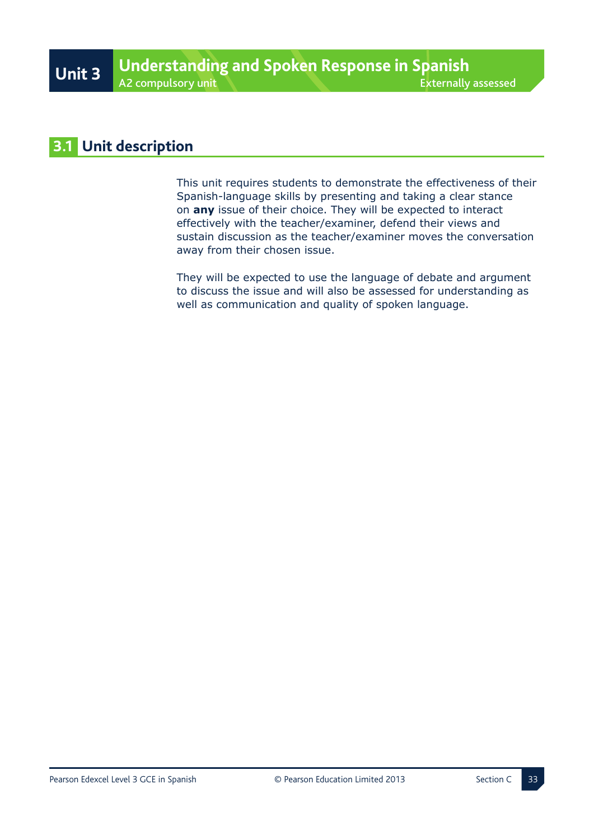## **3.1 Unit description**

This unit requires students to demonstrate the effectiveness of their Spanish-language skills by presenting and taking a clear stance on **any** issue of their choice. They will be expected to interact effectively with the teacher/examiner, defend their views and sustain discussion as the teacher/examiner moves the conversation away from their chosen issue.

They will be expected to use the language of debate and argument to discuss the issue and will also be assessed for understanding as well as communication and quality of spoken language.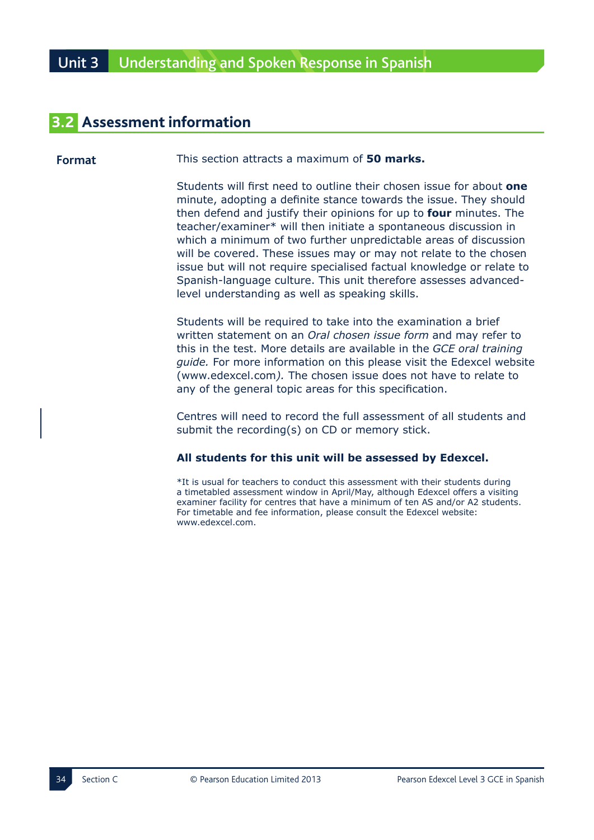# **3.2 Assessment information**

**Format** This section attracts a maximum of **50 marks.** 

Students will first need to outline their chosen issue for about **one** minute, adopting a definite stance towards the issue. They should then defend and justify their opinions for up to **four** minutes. The teacher/examiner\* will then initiate a spontaneous discussion in which a minimum of two further unpredictable areas of discussion will be covered. These issues may or may not relate to the chosen issue but will not require specialised factual knowledge or relate to Spanish-language culture. This unit therefore assesses advancedlevel understanding as well as speaking skills.

Students will be required to take into the examination a brief written statement on an *Oral chosen issue form* and may refer to this in the test. More details are available in the GCE oral training *guide.* For more information on this please visit the Edexcel website (www.edexcel.com). The chosen issue does not have to relate to any of the general topic areas for this specification.

Centres will need to record the full assessment of all students and submit the recording(s) on CD or memory stick.

### All students for this unit will be assessed by Edexcel.

\*It is usual for teachers to conduct this assessment with their students during a timetabled assessment window in April/May, although Edexcel offers a visiting examiner facility for centres that have a minimum of ten AS and/or A2 students. For timetable and fee information, please consult the Edexcel website: www.edexcel.com.